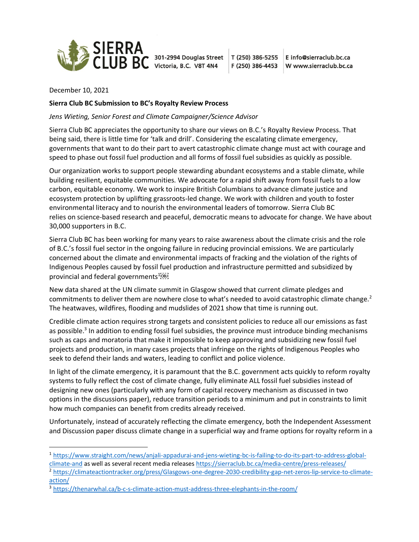

E info@sierraclub.bc.ca W www.sierraclub.bc.ca

December 10, 2021

## **Sierra Club BC Submission to BC's Royalty Review Process**

*Jens Wieting, Senior Forest and Climate Campaigner/Science Advisor*

Sierra Club BC appreciates the opportunity to share our views on B.C.'s Royalty Review Process. That being said, there is little time for 'talk and drill'. Considering the escalating climate emergency, governments that want to do their part to avert catastrophic climate change must act with courage and speed to phase out fossil fuel production and all forms of fossil fuel subsidies as quickly as possible.

Our organization works to support people stewarding abundant ecosystems and a stable climate, while building resilient, equitable communities. We advocate for a rapid shift away from fossil fuels to a low carbon, equitable economy. We work to inspire British Columbians to advance climate justice and ecosystem protection by uplifting grassroots-led change. We work with children and youth to foster environmental literacy and to nourish the environmental leaders of tomorrow. Sierra Club BC relies on science-based research and peaceful, democratic means to advocate for change. We have about 30,000 supporters in B.C.

Sierra Club BC has been working for many years to raise awareness about the climate crisis and the role of B.C.'s fossil fuel sector in the ongoing failure in reducing provincial emissions. We are particularly concerned about the climate and environmental impacts of fracking and the violation of the rights of Indigenous Peoples caused by fossil fuel production and infrastructure permitted and subsidized by provincial and federal governments<sup>1081</sup>

New data shared at the UN climate summit in Glasgow showed that current climate pledges and commitments to deliver them are nowhere close to what's needed to avoid catastrophic climate change.<sup>2</sup> The heatwaves, wildfires, flooding and mudslides of 2021 show that time is running out.

Credible climate action requires strong targets and consistent policies to reduce all our emissions as fast as possible.<sup>3</sup> In addition to ending fossil fuel subsidies, the province must introduce binding mechanisms such as caps and moratoria that make it impossible to keep approving and subsidizing new fossil fuel projects and production, in many cases projects that infringe on the rights of Indigenous Peoples who seek to defend their lands and waters, leading to conflict and police violence.

In light of the climate emergency, it is paramount that the B.C. government acts quickly to reform royalty systems to fully reflect the cost of climate change, fully eliminate ALL fossil fuel subsidies instead of designing new ones (particularly with any form of capital recovery mechanism as discussed in two options in the discussions paper), reduce transition periods to a minimum and put in constraints to limit how much companies can benefit from credits already received.

Unfortunately, instead of accurately reflecting the climate emergency, both the Independent Assessment and Discussion paper discuss climate change in a superficial way and frame options for royalty reform in a

<sup>1</sup> [https://www.straight.com/news/anjali-appadurai-and-jens-wieting-bc-is-failing-to-do-its-part-to-address-global-](https://www.straight.com/news/anjali-appadurai-and-jens-wieting-bc-is-failing-to-do-its-part-to-address-global-climate-and)

[climate-and](https://www.straight.com/news/anjali-appadurai-and-jens-wieting-bc-is-failing-to-do-its-part-to-address-global-climate-and) as well as several recent media release[s https://sierraclub.bc.ca/media-centre/press-releases/](https://sierraclub.bc.ca/media-centre/press-releases/)

<sup>2</sup> [https://climateactiontracker.org/press/Glasgows-one-degree-2030-credibility-gap-net-zeros-lip-service-to-climate](https://climateactiontracker.org/press/Glasgows-one-degree-2030-credibility-gap-net-zeros-lip-service-to-climate-action/)[action/](https://climateactiontracker.org/press/Glasgows-one-degree-2030-credibility-gap-net-zeros-lip-service-to-climate-action/)

<sup>&</sup>lt;sup>3</sup> <https://thenarwhal.ca/b-c-s-climate-action-must-address-three-elephants-in-the-room/>